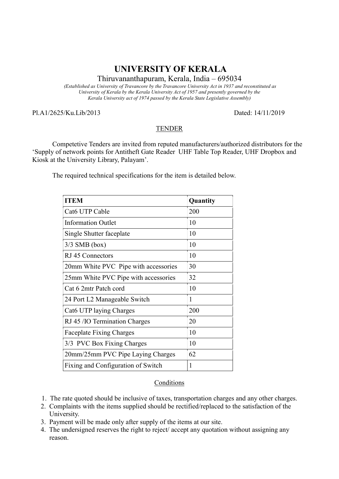## UNIVERSITY OF KERALA

Thiruvananthapuram, Kerala, India – 695034

(Established as University of Travancore by the Travancore University Act in 1937 and reconstituted as University of Kerala by the Kerala University Act of 1957 and presently governed by the Kerala University act of 1974 passed by the Kerala State Legislative Assembly)

Pl.A1/2625/Ku.Lib/2013 Dated: 14/11/2019

## **TENDER**

 Competetive Tenders are invited from reputed manufacturers/authorized distributors for the 'Supply of network points for Antitheft Gate Reader UHF Table Top Reader, UHF Dropbox and Kiosk at the University Library, Palayam'.

The required technical specifications for the item is detailed below.

| <b>ITEM</b>                          | Quantity |
|--------------------------------------|----------|
| Cat <sub>6</sub> UTP Cable           | 200      |
| <b>Information Outlet</b>            | 10       |
| Single Shutter faceplate             | 10       |
| $3/3$ SMB (box)                      | 10       |
| RJ 45 Connectors                     | 10       |
| 20mm White PVC Pipe with accessories | 30       |
| 25mm White PVC Pipe with accessories | 32       |
| Cat 6 2mtr Patch cord                | 10       |
| 24 Port L2 Manageable Switch         | 1        |
| Cat6 UTP laying Charges              | 200      |
| RJ 45 /IO Termination Charges        | 20       |
| <b>Faceplate Fixing Charges</b>      | 10       |
| 3/3 PVC Box Fixing Charges           | 10       |
| 20mm/25mm PVC Pipe Laying Charges    | 62       |
| Fixing and Configuration of Switch   | 1        |

## Conditions

- 1. The rate quoted should be inclusive of taxes, transportation charges and any other charges.
- 2. Complaints with the items supplied should be rectified/replaced to the satisfaction of the University.
- 3. Payment will be made only after supply of the items at our site.
- 4. The undersigned reserves the right to reject/ accept any quotation without assigning any reason.